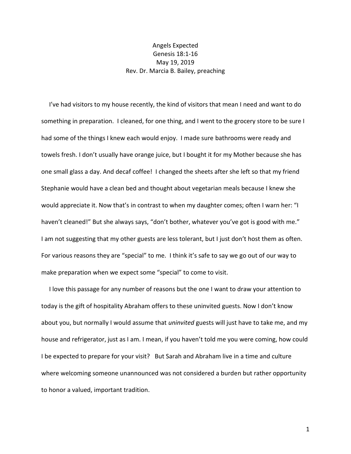## Angels Expected Genesis 18:1-16 May 19, 2019 Rev. Dr. Marcia B. Bailey, preaching

 I've had visitors to my house recently, the kind of visitors that mean I need and want to do something in preparation. I cleaned, for one thing, and I went to the grocery store to be sure I had some of the things I knew each would enjoy. I made sure bathrooms were ready and towels fresh. I don't usually have orange juice, but I bought it for my Mother because she has one small glass a day. And decaf coffee! I changed the sheets after she left so that my friend Stephanie would have a clean bed and thought about vegetarian meals because I knew she would appreciate it. Now that's in contrast to when my daughter comes; often I warn her: "I haven't cleaned!" But she always says, "don't bother, whatever you've got is good with me." I am not suggesting that my other guests are less tolerant, but I just don't host them as often. For various reasons they are "special" to me. I think it's safe to say we go out of our way to make preparation when we expect some "special" to come to visit.

 I love this passage for any number of reasons but the one I want to draw your attention to today is the gift of hospitality Abraham offers to these uninvited guests. Now I don't know about you, but normally I would assume that *uninvited* guests will just have to take me, and my house and refrigerator, just as I am. I mean, if you haven't told me you were coming, how could I be expected to prepare for your visit? But Sarah and Abraham live in a time and culture where welcoming someone unannounced was not considered a burden but rather opportunity to honor a valued, important tradition.

1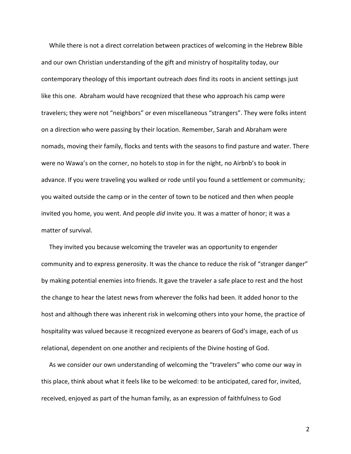While there is not a direct correlation between practices of welcoming in the Hebrew Bible and our own Christian understanding of the gift and ministry of hospitality today, our contemporary theology of this important outreach *does* find its roots in ancient settings just like this one. Abraham would have recognized that these who approach his camp were travelers; they were not "neighbors" or even miscellaneous "strangers". They were folks intent on a direction who were passing by their location. Remember, Sarah and Abraham were nomads, moving their family, flocks and tents with the seasons to find pasture and water. There were no Wawa's on the corner, no hotels to stop in for the night, no Airbnb's to book in advance. If you were traveling you walked or rode until you found a settlement or community; you waited outside the camp or in the center of town to be noticed and then when people invited you home, you went. And people *did* invite you. It was a matter of honor; it was a matter of survival.

 They invited you because welcoming the traveler was an opportunity to engender community and to express generosity. It was the chance to reduce the risk of "stranger danger" by making potential enemies into friends. It gave the traveler a safe place to rest and the host the change to hear the latest news from wherever the folks had been. It added honor to the host and although there was inherent risk in welcoming others into your home, the practice of hospitality was valued because it recognized everyone as bearers of God's image, each of us relational, dependent on one another and recipients of the Divine hosting of God.

 As we consider our own understanding of welcoming the "travelers" who come our way in this place, think about what it feels like to be welcomed: to be anticipated, cared for, invited, received, enjoyed as part of the human family, as an expression of faithfulness to God

2